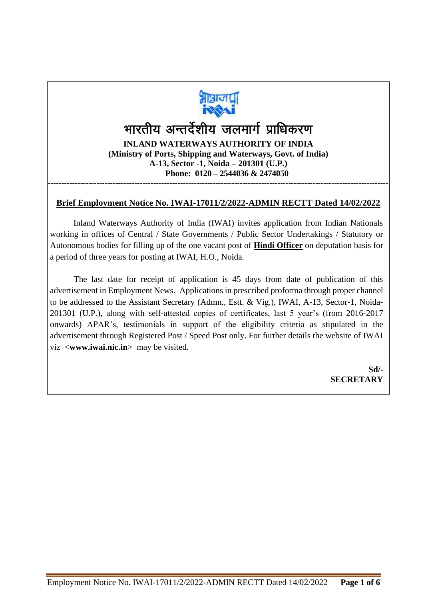

## भारतीय अन्तर्देशीय जलमार्ग प्राधिकरण **INLAND WATERWAYS AUTHORITY OF INDIA (Ministry of Ports, Shipping and Waterways, Govt. of India) A-13, Sector -1, Noida – 201301 (U.P.) Phone: 0120 – 2544036 & 2474050** ------------------------------------------------------------------------------------------------------------------------------

## **Brief Employment Notice No. IWAI-17011/2/2022-ADMIN RECTT Dated 14/02/2022**

Inland Waterways Authority of India (IWAI) invites application from Indian Nationals working in offices of Central / State Governments / Public Sector Undertakings / Statutory or Autonomous bodies for filling up of the one vacant post of **Hindi Officer** on deputation basis for a period of three years for posting at IWAI, H.O., Noida.

 The last date for receipt of application is 45 days from date of publication of this advertisement in Employment News. Applications in prescribed proforma through proper channel to be addressed to the Assistant Secretary (Admn., Estt. & Vig.), IWAI, A-13, Sector-1, Noida-201301 (U.P.), along with self-attested copies of certificates, last 5 year's (from 2016-2017 onwards) APAR's, testimonials in support of the eligibility criteria as stipulated in the advertisement through Registered Post / Speed Post only. For further details the website of IWAI viz <**www.iwai.nic.in**> may be visited.

> **Sd/- SECRETARY**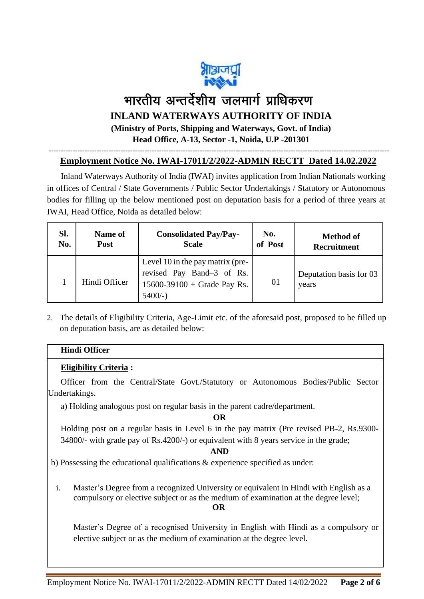

# भारतीय अन्तर्देशीय जलमार्ग प्राधिकरण **INLAND WATERWAYS AUTHORITY OF INDIA (Ministry of Ports, Shipping and Waterways, Govt. of India)**

**Head Office, A-13, Sector -1, Noida, U.P -201301**

#### ---------------------------------------------------------------------------------------------------------------------------------------------- **Employment Notice No. IWAI-17011/2/2022-ADMIN RECTT Dated 14.02.2022**

 Inland Waterways Authority of India (IWAI) invites application from Indian Nationals working in offices of Central / State Governments / Public Sector Undertakings / Statutory or Autonomous bodies for filling up the below mentioned post on deputation basis for a period of three years at IWAI, Head Office, Noida as detailed below:

| Sl. | Name of       | <b>Consolidated Pay/Pay-</b>                                                                                 | No.     | <b>Method of</b>                 |  |
|-----|---------------|--------------------------------------------------------------------------------------------------------------|---------|----------------------------------|--|
| No. | Post          | <b>Scale</b>                                                                                                 | of Post | <b>Recruitment</b>               |  |
|     | Hindi Officer | Level 10 in the pay matrix (pre-<br>revised Pay Band-3 of Rs.<br>$15600 - 39100 +$ Grade Pay Rs.<br>$5400/-$ | 01      | Deputation basis for 03<br>years |  |

2. The details of Eligibility Criteria, Age-Limit etc. of the aforesaid post, proposed to be filled up on deputation basis, are as detailed below:

#### **Hindi Officer**

#### **Eligibility Criteria :**

Officer from the Central/State Govt./Statutory or Autonomous Bodies/Public Sector Undertakings.

a) Holding analogous post on regular basis in the parent cadre/department.

**OR**

Holding post on a regular basis in Level 6 in the pay matrix (Pre revised PB-2, Rs.9300- 34800/- with grade pay of Rs.4200/-) or equivalent with 8 years service in the grade;

#### **AND**

b) Possessing the educational qualifications & experience specified as under:

i. Master's Degree from a recognized University or equivalent in Hindi with English as a compulsory or elective subject or as the medium of examination at the degree level; **OR**

Master's Degree of a recognised University in English with Hindi as a compulsory or elective subject or as the medium of examination at the degree level.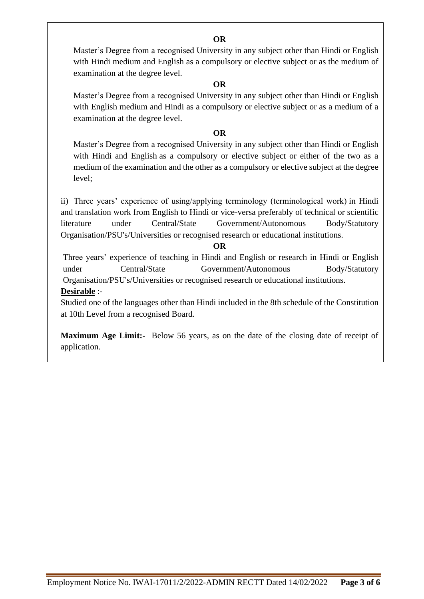**OR**

Master's Degree from a recognised University in any subject other than Hindi or English with Hindi medium and English as a compulsory or elective subject or as the medium of examination at the degree level.

#### **OR**

Master's Degree from a recognised University in any subject other than Hindi or English with English medium and Hindi as a compulsory or elective subject or as a medium of a examination at the degree level.

#### **OR**

Master's Degree from a recognised University in any subject other than Hindi or English with Hindi and English as a compulsory or elective subject or either of the two as a medium of the examination and the other as a compulsory or elective subject at the degree level;

ii) Three years' experience of using/applying terminology (terminological work) in Hindi and translation work from English to Hindi or vice-versa preferably of technical or scientific literature under Central/State Government/Autonomous Body/Statutory Organisation/PSU's/Universities or recognised research or educational institutions.

#### **OR**

Three years' experience of teaching in Hindi and English or research in Hindi or English under Central/State Government/Autonomous Body/Statutory Organisation/PSU's/Universities or recognised research or educational institutions. **Desirable** :-

Studied one of the languages other than Hindi included in the 8th schedule of the Constitution at 10th Level from a recognised Board.

**Maximum Age Limit:-** Below 56 years, as on the date of the closing date of receipt of application.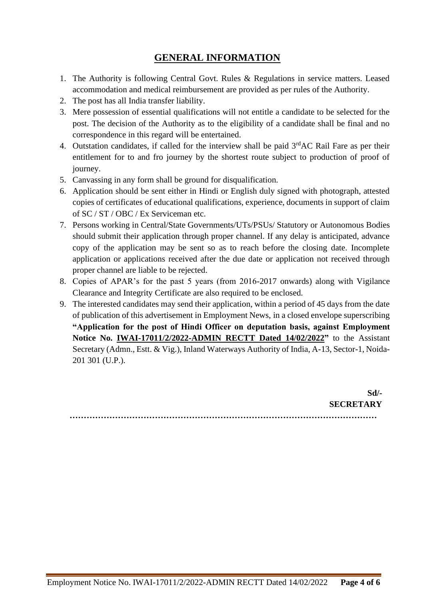## **GENERAL INFORMATION**

- 1. The Authority is following Central Govt. Rules & Regulations in service matters. Leased accommodation and medical reimbursement are provided as per rules of the Authority.
- 2. The post has all India transfer liability.
- 3. Mere possession of essential qualifications will not entitle a candidate to be selected for the post. The decision of the Authority as to the eligibility of a candidate shall be final and no correspondence in this regard will be entertained.
- 4. Outstation candidates, if called for the interview shall be paid  $3<sup>rd</sup>AC$  Rail Fare as per their entitlement for to and fro journey by the shortest route subject to production of proof of journey.
- 5. Canvassing in any form shall be ground for disqualification.
- 6. Application should be sent either in Hindi or English duly signed with photograph, attested copies of certificates of educational qualifications, experience, documents in support of claim of SC / ST / OBC / Ex Serviceman etc.
- 7. Persons working in Central/State Governments/UTs/PSUs/ Statutory or Autonomous Bodies should submit their application through proper channel. If any delay is anticipated, advance copy of the application may be sent so as to reach before the closing date. Incomplete application or applications received after the due date or application not received through proper channel are liable to be rejected.
- 8. Copies of APAR's for the past 5 years (from 2016-2017 onwards) along with Vigilance Clearance and Integrity Certificate are also required to be enclosed.
- 9. The interested candidates may send their application, within a period of 45 days from the date of publication of this advertisement in Employment News, in a closed envelope superscribing **"Application for the post of Hindi Officer on deputation basis, against Employment Notice No. IWAI-17011/2/2022-ADMIN RECTT Dated 14/02/2022"** to the Assistant Secretary (Admn., Estt. & Vig.), Inland Waterways Authority of India, A-13, Sector-1, Noida-201 301 (U.P.).

**Sd/- SECRETARY ………………………………………………………………………………………………**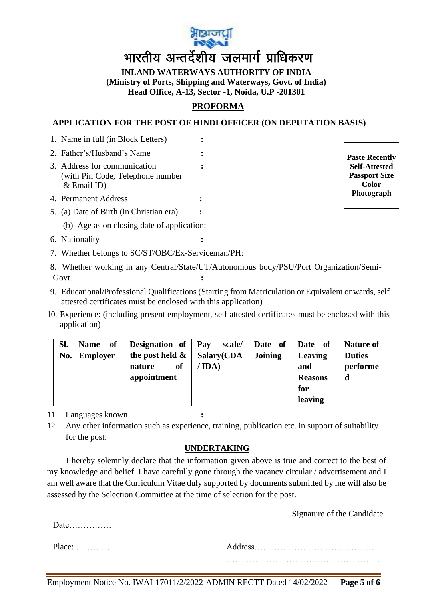

**INLAND WATERWAYS AUTHORITY OF INDIA (Ministry of Ports, Shipping and Waterways, Govt. of India) Head Office, A-13, Sector -1, Noida, U.P -201301**

## **PROFORMA**

#### **APPLICATION FOR THE POST OF HINDI OFFICER (ON DEPUTATION BASIS)**

- 1. Name in full (in Block Letters) **:** 2. Father's/Husband's Name **:** 3. Address for communication **:** (with Pin Code, Telephone number & Email ID) 4. Permanent Address **:** 5. (a) Date of Birth (in Christian era) **:** (b) Age as on closing date of application:
- 6. Nationality **:**
- 7. Whether belongs to SC/ST/OBC/Ex-Serviceman/PH:
- 8. Whether working in any Central/State/UT/Autonomous body/PSU/Port Organization/Semi-Govt. **:**
- 9. Educational/Professional Qualifications (Starting from Matriculation or Equivalent onwards, self attested certificates must be enclosed with this application)
- 10. Experience: (including present employment, self attested certificates must be enclosed with this application)

| SI. | of<br><b>Name</b> | Designation of     | Pay<br>scale/ | Date of $\vert$ | - of<br><b>Date</b> | <b>Nature of</b> |
|-----|-------------------|--------------------|---------------|-----------------|---------------------|------------------|
| No. | <b>Employer</b>   | the post held $\&$ | Salary(CDA    | <b>Joining</b>  | Leaving             | <b>Duties</b>    |
|     |                   | of<br>nature       | IDA)          |                 | and                 | performe         |
|     |                   | appointment        |               |                 | <b>Reasons</b>      | d                |
|     |                   |                    |               |                 | for                 |                  |
|     |                   |                    |               |                 | leaving             |                  |

11. Languages known **:**

12. Any other information such as experience, training, publication etc. in support of suitability for the post:

## **UNDERTAKING**

I hereby solemnly declare that the information given above is true and correct to the best of my knowledge and belief. I have carefully gone through the vacancy circular / advertisement and I am well aware that the Curriculum Vitae duly supported by documents submitted by me will also be assessed by the Selection Committee at the time of selection for the post.

Signature of the Candidate

Date……………

Place: …………. Address……………………………………. ………………………………………………

**Paste Recently Self-Attested Passport Size Color Photograph**